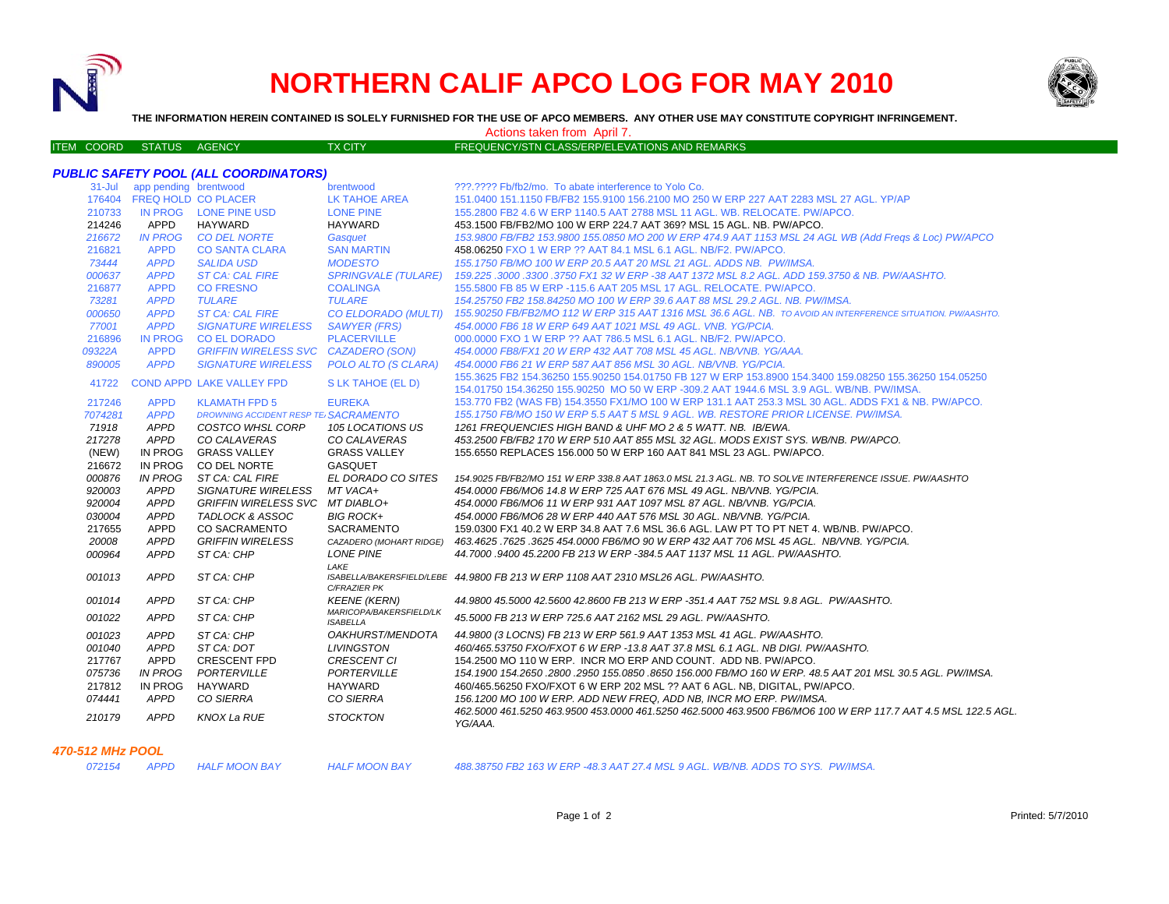

## **NORTHERN CALIF APCO LOG FOR MAY 2010**



**THE INFORMATION HEREIN CONTAINED IS SOLELY FURNISHED FOR THE USE OF APCO MEMBERS. ANY OTHER USE MAY CONSTITUTE COPYRIGHT INFRINGEMENT.**

Actions taken from April 7.

| <b>FREQUENCY/STN CLASS/ERP/ELEVATIONS AND REMARKS</b><br>ITEM COORD STATUS AGENCY |
|-----------------------------------------------------------------------------------|
|-----------------------------------------------------------------------------------|

| <b>PUBLIC SAFETY POOL (ALL COORDINATORS)</b> |                            |                                      |                                            |                                                                                                                          |  |  |  |  |
|----------------------------------------------|----------------------------|--------------------------------------|--------------------------------------------|--------------------------------------------------------------------------------------------------------------------------|--|--|--|--|
| $31 -$ Jul                                   | app pending brentwood      |                                      | brentwood                                  | ???.???? Fb/fb2/mo. To abate interference to Yolo Co.                                                                    |  |  |  |  |
|                                              | 176404 FREQ HOLD CO PLACER |                                      | LK TAHOE AREA                              | 151.0400 151.1150 FB/FB2 155.9100 156.2100 MO 250 W ERP 227 AAT 2283 MSL 27 AGL, YP/AP                                   |  |  |  |  |
| 210733                                       |                            | IN PROG LONE PINE USD                | <b>LONE PINE</b>                           | 155.2800 FB2 4.6 W ERP 1140.5 AAT 2788 MSL 11 AGL. WB. RELOCATE. PW/APCO.                                                |  |  |  |  |
| 214246                                       | APPD                       | HAYWARD                              | <b>HAYWARD</b>                             | 453.1500 FB/FB2/MO 100 W ERP 224.7 AAT 369? MSL 15 AGL, NB, PW/APCO.                                                     |  |  |  |  |
| 216672                                       | <b>IN PROG</b>             | <b>CO DEL NORTE</b>                  | Gasquet                                    | 153.9800 FB/FB2 153.9800 155.0850 MO 200 W ERP 474.9 AAT 1153 MSL 24 AGL WB (Add Freqs & Loc) PW/APCO                    |  |  |  |  |
| 216821                                       | <b>APPD</b>                | <b>CO SANTA CLARA</b>                | <b>SAN MARTIN</b>                          | 458.06250 FXO 1 W ERP ?? AAT 84.1 MSL 6.1 AGL. NB/F2. PW/APCO.                                                           |  |  |  |  |
| 73444                                        | <b>APPD</b>                | <b>SALIDA USD</b>                    | <b>MODESTO</b>                             | 155.1750 FB/MO 100 W ERP 20.5 AAT 20 MSL 21 AGL, ADDS NB. PW/IMSA.                                                       |  |  |  |  |
| 000637                                       | <b>APPD</b>                | <b>ST CA: CAL FIRE</b>               | <b>SPRINGVALE (TULARE)</b>                 | 159.225 .3000 .3300 .3750 FX1 32 W ERP -38 AAT 1372 MSL 8.2 AGL. ADD 159.3750 & NB. PW/AASHTO.                           |  |  |  |  |
| 216877                                       | <b>APPD</b>                | <b>CO FRESNO</b>                     | <b>COALINGA</b>                            | 155,5800 FB 85 W ERP - 115.6 AAT 205 MSL 17 AGL, RELOCATE, PW/APCO.                                                      |  |  |  |  |
| 73281                                        | <b>APPD</b>                | <b>TULARE</b>                        | <b>TULARE</b>                              | 154.25750 FB2 158.84250 MO 100 W ERP 39.6 AAT 88 MSL 29.2 AGL. NB. PW/IMSA.                                              |  |  |  |  |
| 000650                                       | <b>APPD</b>                | <b>ST CA: CAL FIRE</b>               | CO ELDORADO (MULTI)                        | 155.90250 FB/FB2/MO 112 W ERP 315 AAT 1316 MSL 36.6 AGL. NB. TO AVOID AN INTERFERENCE SITUATION. PW/AASHTO.              |  |  |  |  |
| 77001                                        | <b>APPD</b>                | <b>SIGNATURE WIRELESS</b>            | <b>SAWYER (FRS)</b>                        | 454,0000 FB6 18 W ERP 649 AAT 1021 MSL 49 AGL, VNB, YG/PCIA.                                                             |  |  |  |  |
| 216896                                       | <b>IN PROG</b>             | <b>CO EL DORADO</b>                  | <b>PLACERVILLE</b>                         | 000,0000 FXO 1 W ERP ?? AAT 786.5 MSL 6.1 AGL, NB/F2, PW/APCO.                                                           |  |  |  |  |
| 09322A                                       | <b>APPD</b>                | GRIFFIN WIRELESS SVC CAZADERO (SON)  |                                            | 454.0000 FB8/FX1 20 W ERP 432 AAT 708 MSL 45 AGL, NB/VNB, YG/AAA.                                                        |  |  |  |  |
| 890005                                       | <b>APPD</b>                | <b>SIGNATURE WIRELESS</b>            | POLO ALTO (S CLARA)                        | 454,0000 FB6 21 W ERP 587 AAT 856 MSL 30 AGL, NB/VNB, YG/PCIA.                                                           |  |  |  |  |
| 41722                                        |                            | <b>COND APPD LAKE VALLEY FPD</b>     | S LK TAHOE (EL D)                          | 155.3625 FB2 154.36250 155.90250 154.01750 FB 127 W ERP 153.8900 154.3400 159.08250 155.36250 154.05250                  |  |  |  |  |
|                                              |                            |                                      |                                            | 154,01750 154,36250 155,90250 MO 50 W ERP -309.2 AAT 1944.6 MSL 3.9 AGL, WB/NB, PW/IMSA.                                 |  |  |  |  |
| 217246                                       | <b>APPD</b>                | <b>KLAMATH FPD 5</b>                 | <b>EUREKA</b>                              | 153.770 FB2 (WAS FB) 154.3550 FX1/MO 100 W ERP 131.1 AAT 253.3 MSL 30 AGL. ADDS FX1 & NB. PW/APCO.                       |  |  |  |  |
| 7074281                                      | <b>APPD</b>                | DROWNING ACCIDENT RESP TE SACRAMENTO |                                            | 155.1750 FB/MO 150 W ERP 5.5 AAT 5 MSL 9 AGL. WB. RESTORE PRIOR LICENSE. PW/IMSA.                                        |  |  |  |  |
| 71918                                        | <b>APPD</b>                | COSTCO WHSL CORP                     | 105 LOCATIONS US                           | 1261 FREQUENCIES HIGH BAND & UHF MO 2 & 5 WATT, NB. IB/EWA.                                                              |  |  |  |  |
| 217278                                       | APPD                       | CO CALAVERAS                         | CO CALAVERAS                               | 453.2500 FB/FB2 170 W ERP 510 AAT 855 MSL 32 AGL. MODS EXIST SYS. WB/NB. PW/APCO.                                        |  |  |  |  |
| (NEW)                                        | IN PROG                    | <b>GRASS VALLEY</b>                  | <b>GRASS VALLEY</b>                        | 155,6550 REPLACES 156,000 50 W ERP 160 AAT 841 MSL 23 AGL, PW/APCO.                                                      |  |  |  |  |
| 216672                                       | IN PROG                    | CO DEL NORTE                         | <b>GASQUET</b>                             |                                                                                                                          |  |  |  |  |
| 000876                                       | <b>IN PROG</b>             | ST CA: CAL FIRE                      | EL DORADO CO SITES                         | 154.9025 FB/FB2/MO 151 W ERP 338.8 AAT 1863.0 MSL 21.3 AGL. NB. TO SOLVE INTERFERENCE ISSUE. PW/AASHTO                   |  |  |  |  |
| 920003                                       | <b>APPD</b>                | <b>SIGNATURE WIRELESS</b>            | MT VACA+                                   | 454.0000 FB6/MO6 14.8 W ERP 725 AAT 676 MSL 49 AGL. NB/VNB. YG/PCIA.                                                     |  |  |  |  |
| 920004                                       | <b>APPD</b>                | GRIFFIN WIRELESS SVC MT DIABLO+      |                                            | 454.0000 FB6/MO6 11 W ERP 931 AAT 1097 MSL 87 AGL. NB/VNB. YG/PCIA.                                                      |  |  |  |  |
| 030004                                       | <b>APPD</b>                | TADLOCK & ASSOC                      | <b>BIG ROCK+</b>                           | 454.0000 FB6/MO6 28 W ERP 440 AAT 576 MSL 30 AGL. NB/VNB. YG/PCIA.                                                       |  |  |  |  |
| 217655                                       | APPD                       | <b>CO SACRAMENTO</b>                 | <b>SACRAMENTO</b>                          | 159.0300 FX1 40.2 W ERP 34.8 AAT 7.6 MSL 36.6 AGL. LAW PT TO PT NET 4. WB/NB. PW/APCO.                                   |  |  |  |  |
| 20008                                        | <b>APPD</b>                | <b>GRIFFIN WIRELESS</b>              |                                            | CAZADERO (MOHART RIDGE) 463.4625.7625.3625 454.0000 FB6/MO 90 W ERP 432 AAT 706 MSL 45 AGL. NB/VNB. YG/PCIA.             |  |  |  |  |
| 000964                                       | <b>APPD</b>                | ST CA: CHP                           | <b>LONE PINE</b>                           | 44.7000 .9400 45.2200 FB 213 W ERP -384.5 AAT 1137 MSL 11 AGL. PW/AASHTO.                                                |  |  |  |  |
| 001013                                       | <b>APPD</b>                | ST CA: CHP                           | LAKE<br>C/FRAZIER PK                       | ISABELLA/BAKERSFIELD/LEBE 44.9800 FB 213 W ERP 1108 AAT 2310 MSL26 AGL, PW/AASHTO.                                       |  |  |  |  |
| 001014                                       | <b>APPD</b>                | ST CA: CHP                           | <b>KEENE (KERN)</b>                        | 44.9800 45.5000 42.5600 42.8600 FB 213 W ERP -351.4 AAT 752 MSL 9.8 AGL. PW/AASHTO.                                      |  |  |  |  |
| 001022                                       | <b>APPD</b>                | ST CA: CHP                           | MARICOPA/BAKERSFIELD/LK<br><b>ISABELLA</b> | 45.5000 FB 213 W ERP 725.6 AAT 2162 MSL 29 AGL. PW/AASHTO.                                                               |  |  |  |  |
| 001023                                       | <b>APPD</b>                | ST CA: CHP                           | OAKHURST/MENDOTA                           | 44.9800 (3 LOCNS) FB 213 W ERP 561.9 AAT 1353 MSL 41 AGL. PW/AASHTO.                                                     |  |  |  |  |
| 001040                                       | <b>APPD</b>                | ST CA: DOT                           | LIVINGSTON                                 | 460/465.53750 FXO/FXOT 6 W ERP -13.8 AAT 37.8 MSL 6.1 AGL. NB DIGI. PW/AASHTO.                                           |  |  |  |  |
| 217767                                       | APPD                       | <b>CRESCENT FPD</b>                  | <b>CRESCENT CI</b>                         | 154,2500 MO 110 W ERP. INCR MO ERP AND COUNT. ADD NB. PW/APCO.                                                           |  |  |  |  |
| 075736                                       | <b>IN PROG</b>             | PORTERVILLE                          | <b>PORTERVILLE</b>                         | 154.1900 154.2650 .2800 .2950 155.0850 .8650 156.000 FB/MO 160 W ERP. 48.5 AAT 201 MSL 30.5 AGL. PW/IMSA.                |  |  |  |  |
| 217812                                       | IN PROG                    | HAYWARD                              | <b>HAYWARD</b>                             | 460/465.56250 FXO/FXOT 6 W ERP 202 MSL ?? AAT 6 AGL, NB, DIGITAL, PW/APCO,                                               |  |  |  |  |
| 074441                                       | APPD                       | <b>CO SIERRA</b>                     | CO SIERRA                                  | 156.1200 MO 100 W ERP. ADD NEW FREQ, ADD NB, INCR MO ERP. PW/IMSA.                                                       |  |  |  |  |
| 210179                                       | <b>APPD</b>                | <b>KNOX La RUE</b>                   | <b>STOCKTON</b>                            | .462.5000 461.5250 463.9500 453.0000 461.5250 462.5000 463.9500 FB6/MO6 100 W ERP 117.7 AAT 4.5 MSL 122.5 AGL<br>YG/AAA. |  |  |  |  |
|                                              |                            |                                      |                                            |                                                                                                                          |  |  |  |  |

*470-512 MHz POOL*

*072154 APPD HALF MOON BAY HALF MOON BAY 488.38750 FB2 163 W ERP -48.3 AAT 27.4 MSL 9 AGL. WB/NB. ADDS TO SYS. PW/IMSA.*